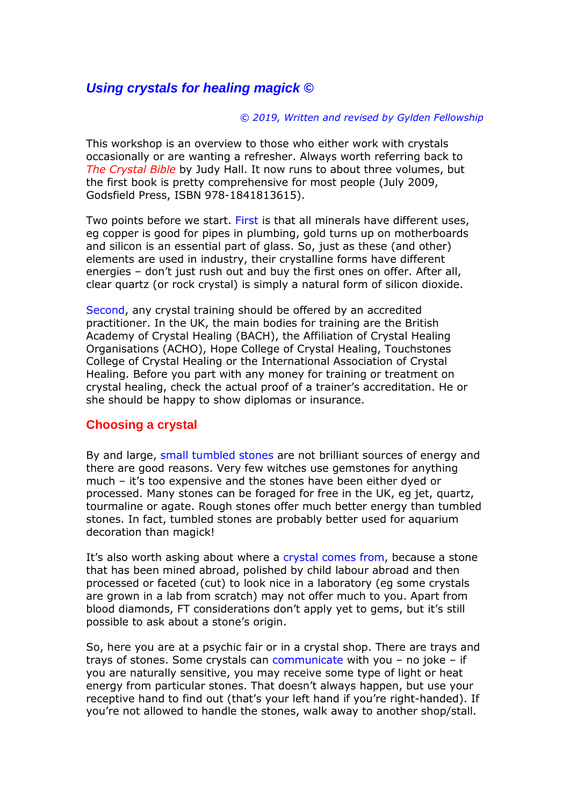# *Using crystals for healing magick ©*

#### *© 2019, Written and revised by Gylden Fellowship*

This workshop is an overview to those who either work with crystals occasionally or are wanting a refresher. Always worth referring back to *The Crystal Bible* by Judy Hall. It now runs to about three volumes, but the first book is pretty comprehensive for most people (July 2009, Godsfield Press, ISBN 978-1841813615).

Two points before we start. First is that all minerals have different uses, eg copper is good for pipes in plumbing, gold turns up on motherboards and silicon is an essential part of glass. So, just as these (and other) elements are used in industry, their crystalline forms have different energies – don't just rush out and buy the first ones on offer. After all, clear quartz (or rock crystal) is simply a natural form of silicon dioxide.

Second, any crystal training should be offered by an accredited practitioner. In the UK, the main bodies for training are the British Academy of Crystal Healing (BACH), the Affiliation of Crystal Healing Organisations (ACHO), Hope College of Crystal Healing, Touchstones College of Crystal Healing or the International Association of Crystal Healing. Before you part with any money for training or treatment on crystal healing, check the actual proof of a trainer's accreditation. He or she should be happy to show diplomas or insurance.

### **Choosing a crystal**

By and large, small tumbled stones are not brilliant sources of energy and there are good reasons. Very few witches use gemstones for anything much – it's too expensive and the stones have been either dyed or processed. Many stones can be foraged for free in the UK, eg jet, quartz, tourmaline or agate. Rough stones offer much better energy than tumbled stones. In fact, tumbled stones are probably better used for aquarium decoration than magick!

It's also worth asking about where a crystal comes from, because a stone that has been mined abroad, polished by child labour abroad and then processed or faceted (cut) to look nice in a laboratory (eg some crystals are grown in a lab from scratch) may not offer much to you. Apart from blood diamonds, FT considerations don't apply yet to gems, but it's still possible to ask about a stone's origin.

So, here you are at a psychic fair or in a crystal shop. There are trays and trays of stones. Some crystals can communicate with you  $-$  no joke  $-$  if you are naturally sensitive, you may receive some type of light or heat energy from particular stones. That doesn't always happen, but use your receptive hand to find out (that's your left hand if you're right-handed). If you're not allowed to handle the stones, walk away to another shop/stall.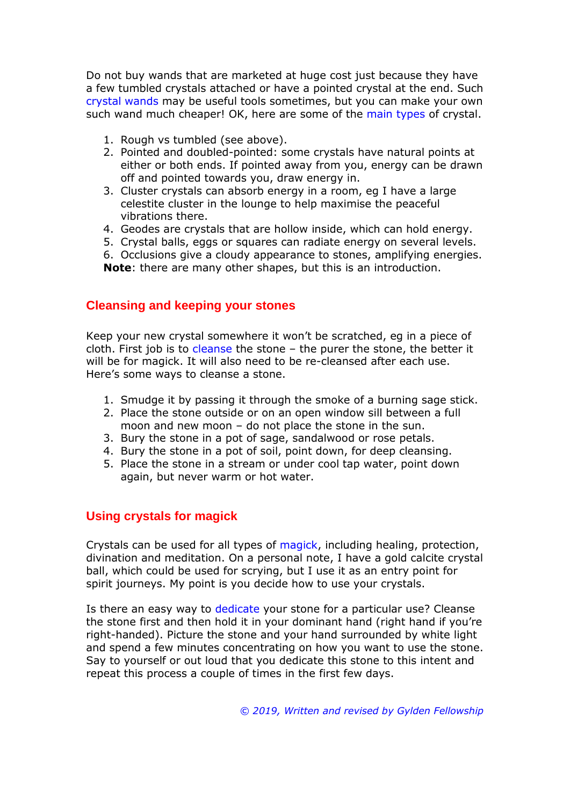Do not buy wands that are marketed at huge cost just because they have a few tumbled crystals attached or have a pointed crystal at the end. Such crystal wands may be useful tools sometimes, but you can make your own such wand much cheaper! OK, here are some of the main types of crystal.

- 1. Rough vs tumbled (see above).
- 2. Pointed and doubled-pointed: some crystals have natural points at either or both ends. If pointed away from you, energy can be drawn off and pointed towards you, draw energy in.
- 3. Cluster crystals can absorb energy in a room, eg I have a large celestite cluster in the lounge to help maximise the peaceful vibrations there.
- 4. Geodes are crystals that are hollow inside, which can hold energy.
- 5. Crystal balls, eggs or squares can radiate energy on several levels.
- 6. Occlusions give a cloudy appearance to stones, amplifying energies. **Note**: there are many other shapes, but this is an introduction.

## **Cleansing and keeping your stones**

Keep your new crystal somewhere it won't be scratched, eg in a piece of cloth. First job is to cleanse the stone - the purer the stone, the better it will be for magick. It will also need to be re-cleansed after each use. Here's some ways to cleanse a stone.

- 1. Smudge it by passing it through the smoke of a burning sage stick.
- 2. Place the stone outside or on an open window sill between a full moon and new moon – do not place the stone in the sun.
- 3. Bury the stone in a pot of sage, sandalwood or rose petals.
- 4. Bury the stone in a pot of soil, point down, for deep cleansing.
- 5. Place the stone in a stream or under cool tap water, point down again, but never warm or hot water.

## **Using crystals for magick**

Crystals can be used for all types of magick, including healing, protection, divination and meditation. On a personal note, I have a gold calcite crystal ball, which could be used for scrying, but I use it as an entry point for spirit journeys. My point is you decide how to use your crystals.

Is there an easy way to dedicate your stone for a particular use? Cleanse the stone first and then hold it in your dominant hand (right hand if you're right-handed). Picture the stone and your hand surrounded by white light and spend a few minutes concentrating on how you want to use the stone. Say to yourself or out loud that you dedicate this stone to this intent and repeat this process a couple of times in the first few days.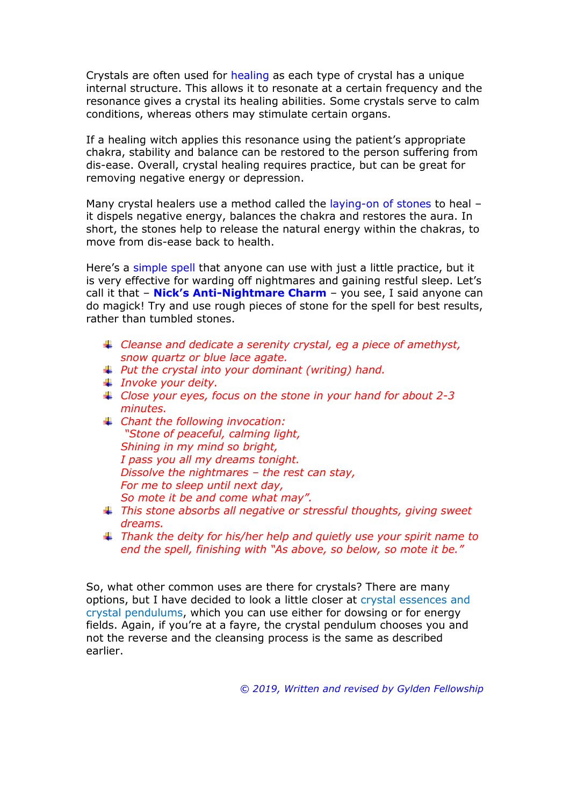Crystals are often used for healing as each type of crystal has a unique internal structure. This allows it to resonate at a certain frequency and the resonance gives a crystal its healing abilities. Some crystals serve to calm conditions, whereas others may stimulate certain organs.

If a healing witch applies this resonance using the patient's appropriate chakra, stability and balance can be restored to the person suffering from dis-ease. Overall, crystal healing requires practice, but can be great for removing negative energy or depression.

Many crystal healers use a method called the laying-on of stones to heal it dispels negative energy, balances the chakra and restores the aura. In short, the stones help to release the natural energy within the chakras, to move from dis-ease back to health.

Here's a simple spell that anyone can use with just a little practice, but it is very effective for warding off nightmares and gaining restful sleep. Let's call it that – **Nick's Anti-Nightmare Charm** – you see, I said anyone can do magick! Try and use rough pieces of stone for the spell for best results, rather than tumbled stones.

- *Cleanse and dedicate a serenity crystal, eg a piece of amethyst, snow quartz or blue lace agate.*
- *Put the crystal into your dominant (writing) hand.*
- *Invoke your deity.*
- *Close your eyes, focus on the stone in your hand for about 2-3 minutes.*
- *Chant the following invocation: "Stone of peaceful, calming light, Shining in my mind so bright, I pass you all my dreams tonight. Dissolve the nightmares – the rest can stay, For me to sleep until next day, So mote it be and come what may".*
- *This stone absorbs all negative or stressful thoughts, giving sweet dreams.*
- *Thank the deity for his/her help and quietly use your spirit name to end the spell, finishing with "As above, so below, so mote it be."*

So, what other common uses are there for crystals? There are many options, but I have decided to look a little closer at crystal essences and crystal pendulums, which you can use either for dowsing or for energy fields. Again, if you're at a fayre, the crystal pendulum chooses you and not the reverse and the cleansing process is the same as described earlier.

*© 2019, Written and revised by Gylden Fellowship*